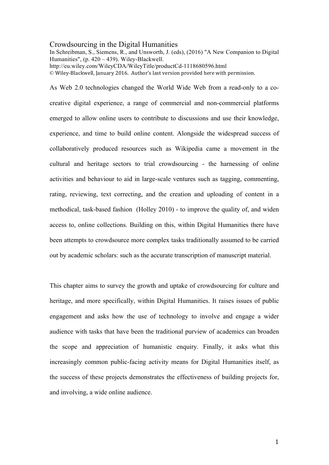#### Crowdsourcing in the Digital Humanities

In Schreibman, S., Siemens, R., and Unsworth, J. (eds), (2016) "A New Companion to Digital Humanities", (p. 420 – 439). Wiley-Blackwell. http://eu.wiley.com/WileyCDA/WileyTitle/productCd-1118680596.html © Wiley-Blackwell, January 2016. Author's last version provided here with permission.

As Web 2.0 technologies changed the World Wide Web from a read-only to a cocreative digital experience, a range of commercial and non-commercial platforms emerged to allow online users to contribute to discussions and use their knowledge, experience, and time to build online content. Alongside the widespread success of collaboratively produced resources such as Wikipedia came a movement in the cultural and heritage sectors to trial crowdsourcing - the harnessing of online activities and behaviour to aid in large-scale ventures such as tagging, commenting, rating, reviewing, text correcting, and the creation and uploading of content in a methodical, task-based fashion (Holley 2010) - to improve the quality of, and widen access to, online collections. Building on this, within Digital Humanities there have been attempts to crowdsource more complex tasks traditionally assumed to be carried out by academic scholars: such as the accurate transcription of manuscript material.

This chapter aims to survey the growth and uptake of crowdsourcing for culture and heritage, and more specifically, within Digital Humanities. It raises issues of public engagement and asks how the use of technology to involve and engage a wider audience with tasks that have been the traditional purview of academics can broaden the scope and appreciation of humanistic enquiry. Finally, it asks what this increasingly common public-facing activity means for Digital Humanities itself, as the success of these projects demonstrates the effectiveness of building projects for, and involving, a wide online audience.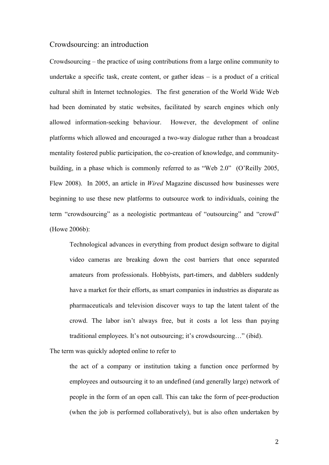#### Crowdsourcing: an introduction

Crowdsourcing – the practice of using contributions from a large online community to undertake a specific task, create content, or gather ideas – is a product of a critical cultural shift in Internet technologies. The first generation of the World Wide Web had been dominated by static websites, facilitated by search engines which only allowed information-seeking behaviour. However, the development of online platforms which allowed and encouraged a two-way dialogue rather than a broadcast mentality fostered public participation, the co-creation of knowledge, and communitybuilding, in a phase which is commonly referred to as "Web 2.0" (O'Reilly 2005, Flew 2008). In 2005, an article in *Wired* Magazine discussed how businesses were beginning to use these new platforms to outsource work to individuals, coining the term "crowdsourcing" as a neologistic portmanteau of "outsourcing" and "crowd" (Howe 2006b):

Technological advances in everything from product design software to digital video cameras are breaking down the cost barriers that once separated amateurs from professionals. Hobbyists, part-timers, and dabblers suddenly have a market for their efforts, as smart companies in industries as disparate as pharmaceuticals and television discover ways to tap the latent talent of the crowd. The labor isn't always free, but it costs a lot less than paying traditional employees. It's not outsourcing; it's crowdsourcing…" (ibid).

The term was quickly adopted online to refer to

the act of a company or institution taking a function once performed by employees and outsourcing it to an undefined (and generally large) network of people in the form of an open call. This can take the form of peer-production (when the job is performed collaboratively), but is also often undertaken by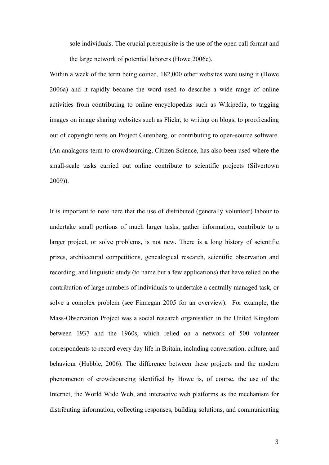sole individuals. The crucial prerequisite is the use of the open call format and the large network of potential laborers (Howe 2006c).

Within a week of the term being coined, 182,000 other websites were using it (Howe 2006a) and it rapidly became the word used to describe a wide range of online activities from contributing to online encyclopedias such as Wikipedia, to tagging images on image sharing websites such as Flickr, to writing on blogs, to proofreading out of copyright texts on Project Gutenberg, or contributing to open-source software. (An analagous term to crowdsourcing, Citizen Science, has also been used where the small-scale tasks carried out online contribute to scientific projects (Silvertown 2009)).

It is important to note here that the use of distributed (generally volunteer) labour to undertake small portions of much larger tasks, gather information, contribute to a larger project, or solve problems, is not new. There is a long history of scientific prizes, architectural competitions, genealogical research, scientific observation and recording, and linguistic study (to name but a few applications) that have relied on the contribution of large numbers of individuals to undertake a centrally managed task, or solve a complex problem (see Finnegan 2005 for an overview). For example, the Mass-Observation Project was a social research organisation in the United Kingdom between 1937 and the 1960s, which relied on a network of 500 volunteer correspondents to record every day life in Britain, including conversation, culture, and behaviour (Hubble, 2006). The difference between these projects and the modern phenomenon of crowdsourcing identified by Howe is, of course, the use of the Internet, the World Wide Web, and interactive web platforms as the mechanism for distributing information, collecting responses, building solutions, and communicating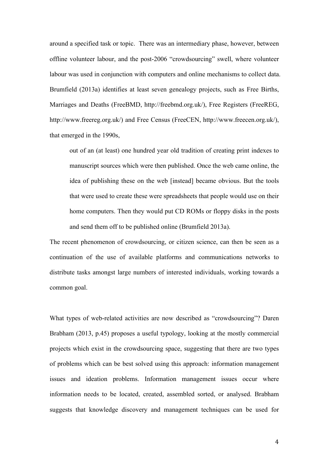around a specified task or topic. There was an intermediary phase, however, between offline volunteer labour, and the post-2006 "crowdsourcing" swell, where volunteer labour was used in conjunction with computers and online mechanisms to collect data. Brumfield (2013a) identifies at least seven genealogy projects, such as Free Births, Marriages and Deaths (FreeBMD, http://freebmd.org.uk/), Free Registers (FreeREG, http://www.freereg.org.uk/) and Free Census (FreeCEN, http://www.freecen.org.uk/), that emerged in the 1990s, 

out of an (at least) one hundred year old tradition of creating print indexes to manuscript sources which were then published. Once the web came online, the idea of publishing these on the web [instead] became obvious. But the tools that were used to create these were spreadsheets that people would use on their home computers. Then they would put CD ROMs or floppy disks in the posts and send them off to be published online (Brumfield 2013a).

The recent phenomenon of crowdsourcing, or citizen science, can then be seen as a continuation of the use of available platforms and communications networks to distribute tasks amongst large numbers of interested individuals, working towards a common goal.

What types of web-related activities are now described as "crowdsourcing"? Daren Brabham (2013, p.45) proposes a useful typology, looking at the mostly commercial projects which exist in the crowdsourcing space, suggesting that there are two types of problems which can be best solved using this approach: information management issues and ideation problems. Information management issues occur where information needs to be located, created, assembled sorted, or analysed. Brabham suggests that knowledge discovery and management techniques can be used for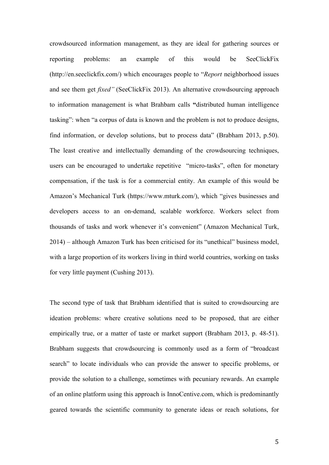crowdsourced information management, as they are ideal for gathering sources or reporting problems: an example of this would be SeeClickFix (http://en.seeclickfix.com/) which encourages people to "*Report* neighborhood issues and see them get *fixed"* (SeeClickFix 2013). An alternative crowdsourcing approach to information management is what Brahbam calls **"**distributed human intelligence tasking": when "a corpus of data is known and the problem is not to produce designs, find information, or develop solutions, but to process data" (Brabham 2013, p.50). The least creative and intellectually demanding of the crowdsourcing techniques, users can be encouraged to undertake repetitive "micro-tasks", often for monetary compensation, if the task is for a commercial entity. An example of this would be Amazon's Mechanical Turk (https://www.mturk.com/), which "gives businesses and developers access to an on-demand, scalable workforce. Workers select from thousands of tasks and work whenever it's convenient" (Amazon Mechanical Turk, 2014) – although Amazon Turk has been criticised for its "unethical" business model, with a large proportion of its workers living in third world countries, working on tasks for very little payment (Cushing 2013).

The second type of task that Brabham identified that is suited to crowdsourcing are ideation problems: where creative solutions need to be proposed, that are either empirically true, or a matter of taste or market support (Brabham 2013, p. 48-51). Brabham suggests that crowdsourcing is commonly used as a form of "broadcast search" to locate individuals who can provide the answer to specific problems, or provide the solution to a challenge, sometimes with pecuniary rewards. An example of an online platform using this approach is InnoCentive.com, which is predominantly geared towards the scientific community to generate ideas or reach solutions, for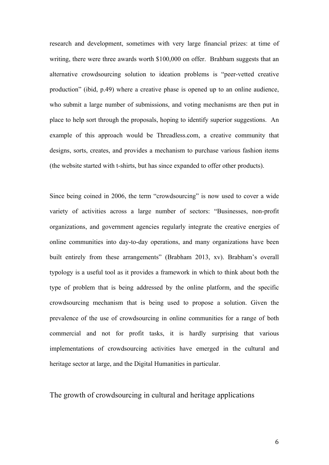research and development, sometimes with very large financial prizes: at time of writing, there were three awards worth \$100,000 on offer. Brahbam suggests that an alternative crowdsourcing solution to ideation problems is "peer-vetted creative production" (ibid, p.49) where a creative phase is opened up to an online audience, who submit a large number of submissions, and voting mechanisms are then put in place to help sort through the proposals, hoping to identify superior suggestions. An example of this approach would be Threadless.com, a creative community that designs, sorts, creates, and provides a mechanism to purchase various fashion items (the website started with t-shirts, but has since expanded to offer other products).

Since being coined in 2006, the term "crowdsourcing" is now used to cover a wide variety of activities across a large number of sectors: "Businesses, non-profit organizations, and government agencies regularly integrate the creative energies of online communities into day-to-day operations, and many organizations have been built entirely from these arrangements" (Brabham 2013, xv). Brabham's overall typology is a useful tool as it provides a framework in which to think about both the type of problem that is being addressed by the online platform, and the specific crowdsourcing mechanism that is being used to propose a solution. Given the prevalence of the use of crowdsourcing in online communities for a range of both commercial and not for profit tasks, it is hardly surprising that various implementations of crowdsourcing activities have emerged in the cultural and heritage sector at large, and the Digital Humanities in particular.

### The growth of crowdsourcing in cultural and heritage applications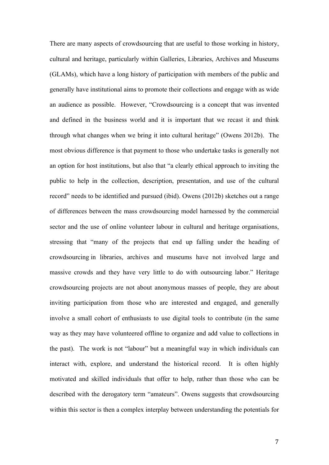There are many aspects of crowdsourcing that are useful to those working in history, cultural and heritage, particularly within Galleries, Libraries, Archives and Museums (GLAMs), which have a long history of participation with members of the public and generally have institutional aims to promote their collections and engage with as wide an audience as possible. However, "Crowdsourcing is a concept that was invented and defined in the business world and it is important that we recast it and think through what changes when we bring it into cultural heritage" (Owens 2012b). The most obvious difference is that payment to those who undertake tasks is generally not an option for host institutions, but also that "a clearly ethical approach to inviting the public to help in the collection, description, presentation, and use of the cultural record" needs to be identified and pursued (ibid). Owens (2012b) sketches out a range of differences between the mass crowdsourcing model harnessed by the commercial sector and the use of online volunteer labour in cultural and heritage organisations, stressing that "many of the projects that end up falling under the heading of crowdsourcing in libraries, archives and museums have not involved large and massive crowds and they have very little to do with outsourcing labor." Heritage crowdsourcing projects are not about anonymous masses of people, they are about inviting participation from those who are interested and engaged, and generally involve a small cohort of enthusiasts to use digital tools to contribute (in the same way as they may have volunteered offline to organize and add value to collections in the past). The work is not "labour" but a meaningful way in which individuals can interact with, explore, and understand the historical record. It is often highly motivated and skilled individuals that offer to help, rather than those who can be described with the derogatory term "amateurs". Owens suggests that crowdsourcing within this sector is then a complex interplay between understanding the potentials for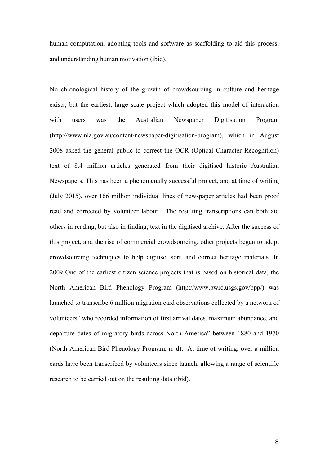human computation, adopting tools and software as scaffolding to aid this process, and understanding human motivation (ibid).

No chronological history of the growth of crowdsourcing in culture and heritage exists, but the earliest, large scale project which adopted this model of interaction with users was the Australian Newspaper Digitisation Program (http://www.nla.gov.au/content/newspaper-digitisation-program), which in August 2008 asked the general public to correct the OCR (Optical Character Recognition) text of 8.4 million articles generated from their digitised historic Australian Newspapers. This has been a phenomenally successful project, and at time of writing (July 2015), over 166 million individual lines of newspaper articles had been proof read and corrected by volunteer labour. The resulting transcriptions can both aid others in reading, but also in finding, text in the digitised archive. After the success of this project, and the rise of commercial crowdsourcing, other projects began to adopt crowdsourcing techniques to help digitise, sort, and correct heritage materials. In 2009 One of the earliest citizen science projects that is based on historical data, the North American Bird Phenology Program (http://www.pwrc.usgs.gov/bpp/) was launched to transcribe 6 million migration card observations collected by a network of volunteers "who recorded information of first arrival dates, maximum abundance, and departure dates of migratory birds across North America" between 1880 and 1970 (North American Bird Phenology Program, n. d). At time of writing, over a million cards have been transcribed by volunteers since launch, allowing a range of scientific research to be carried out on the resulting data (ibid).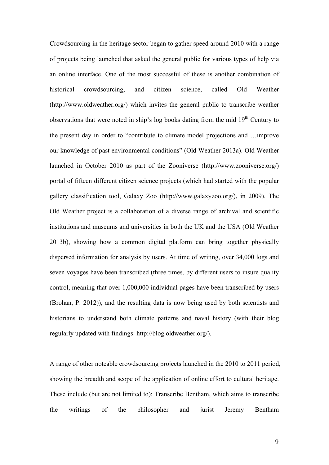Crowdsourcing in the heritage sector began to gather speed around 2010 with a range of projects being launched that asked the general public for various types of help via an online interface. One of the most successful of these is another combination of historical crowdsourcing, and citizen science, called Old Weather (http://www.oldweather.org/) which invites the general public to transcribe weather observations that were noted in ship's log books dating from the mid  $19<sup>th</sup>$  Century to the present day in order to "contribute to climate model projections and …improve our knowledge of past environmental conditions" (Old Weather 2013a). Old Weather launched in October 2010 as part of the Zooniverse (http://www.zooniverse.org/) portal of fifteen different citizen science projects (which had started with the popular gallery classification tool, Galaxy Zoo (http://www.galaxyzoo.org/), in 2009). The Old Weather project is a collaboration of a diverse range of archival and scientific institutions and museums and universities in both the UK and the USA (Old Weather 2013b), showing how a common digital platform can bring together physically dispersed information for analysis by users. At time of writing, over 34,000 logs and seven voyages have been transcribed (three times, by different users to insure quality control, meaning that over 1,000,000 individual pages have been transcribed by users (Brohan, P. 2012)), and the resulting data is now being used by both scientists and historians to understand both climate patterns and naval history (with their blog regularly updated with findings: http://blog.oldweather.org/).

A range of other noteable crowdsourcing projects launched in the 2010 to 2011 period, showing the breadth and scope of the application of online effort to cultural heritage. These include (but are not limited to): Transcribe Bentham, which aims to transcribe the writings of the philosopher and jurist Jeremy Bentham

9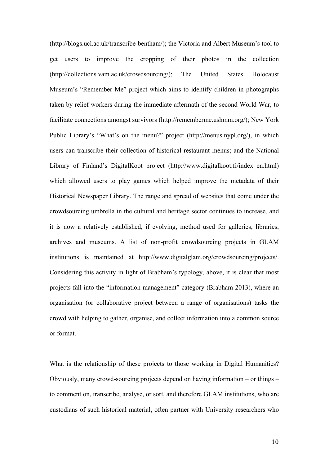(http://blogs.ucl.ac.uk/transcribe-bentham/); the Victoria and Albert Museum's tool to get users to improve the cropping of their photos in the collection (http://collections.vam.ac.uk/crowdsourcing/); The United States Holocaust Museum's "Remember Me" project which aims to identify children in photographs taken by relief workers during the immediate aftermath of the second World War, to facilitate connections amongst survivors (http://rememberme.ushmm.org/); New York Public Library's "What's on the menu?" project (http://menus.nypl.org/), in which users can transcribe their collection of historical restaurant menus; and the National Library of Finland's DigitalKoot project (http://www.digitalkoot.fi/index\_en.html) which allowed users to play games which helped improve the metadata of their Historical Newspaper Library. The range and spread of websites that come under the crowdsourcing umbrella in the cultural and heritage sector continues to increase, and it is now a relatively established, if evolving, method used for galleries, libraries, archives and museums. A list of non-profit crowdsourcing projects in GLAM institutions is maintained at http://www.digitalglam.org/crowdsourcing/projects/. Considering this activity in light of Brabham's typology, above, it is clear that most projects fall into the "information management" category (Brabham 2013), where an organisation (or collaborative project between a range of organisations) tasks the crowd with helping to gather, organise, and collect information into a common source or format.

What is the relationship of these projects to those working in Digital Humanities? Obviously, many crowd-sourcing projects depend on having information – or things – to comment on, transcribe, analyse, or sort, and therefore GLAM institutions, who are custodians of such historical material, often partner with University researchers who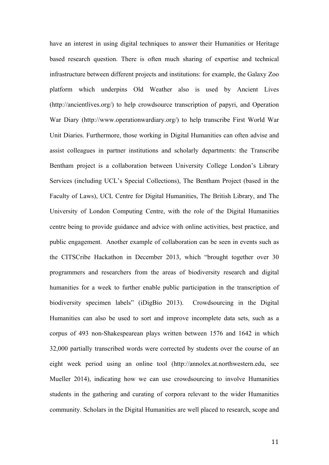have an interest in using digital techniques to answer their Humanities or Heritage based research question. There is often much sharing of expertise and technical infrastructure between different projects and institutions: for example, the Galaxy Zoo platform which underpins Old Weather also is used by Ancient Lives (http://ancientlives.org/) to help crowdsource transcription of papyri, and Operation War Diary (http://www.operationwardiary.org/) to help transcribe First World War Unit Diaries. Furthermore, those working in Digital Humanities can often advise and assist colleagues in partner institutions and scholarly departments: the Transcribe Bentham project is a collaboration between University College London's Library Services (including UCL's Special Collections), The Bentham Project (based in the Faculty of Laws), UCL Centre for Digital Humanities, The British Library, and The University of London Computing Centre, with the role of the Digital Humanities centre being to provide guidance and advice with online activities, best practice, and public engagement. Another example of collaboration can be seen in events such as the CITSCribe Hackathon in December 2013, which "brought together over 30 programmers and researchers from the areas of biodiversity research and digital humanities for a week to further enable public participation in the transcription of biodiversity specimen labels" (iDigBio 2013). Crowdsourcing in the Digital Humanities can also be used to sort and improve incomplete data sets, such as a corpus of 493 non-Shakespearean plays written between 1576 and 1642 in which 32,000 partially transcribed words were corrected by students over the course of an eight week period using an online tool (http://annolex.at.northwestern.edu, see Mueller 2014), indicating how we can use crowdsourcing to involve Humanities students in the gathering and curating of corpora relevant to the wider Humanities community. Scholars in the Digital Humanities are well placed to research, scope and

11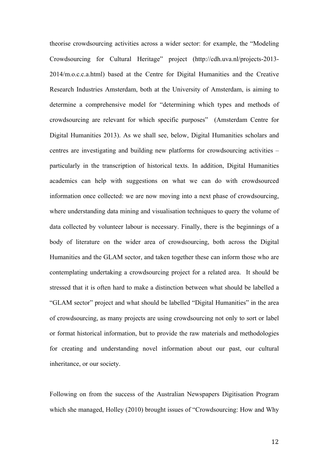theorise crowdsourcing activities across a wider sector: for example, the "Modeling Crowdsourcing for Cultural Heritage" project (http://cdh.uva.nl/projects-2013- 2014/m.o.c.c.a.html) based at the Centre for Digital Humanities and the Creative Research Industries Amsterdam, both at the University of Amsterdam, is aiming to determine a comprehensive model for "determining which types and methods of crowdsourcing are relevant for which specific purposes" (Amsterdam Centre for Digital Humanities 2013). As we shall see, below, Digital Humanities scholars and centres are investigating and building new platforms for crowdsourcing activities – particularly in the transcription of historical texts. In addition, Digital Humanities academics can help with suggestions on what we can do with crowdsourced information once collected: we are now moving into a next phase of crowdsourcing, where understanding data mining and visualisation techniques to query the volume of data collected by volunteer labour is necessary. Finally, there is the beginnings of a body of literature on the wider area of crowdsourcing, both across the Digital Humanities and the GLAM sector, and taken together these can inform those who are contemplating undertaking a crowdsourcing project for a related area. It should be stressed that it is often hard to make a distinction between what should be labelled a "GLAM sector" project and what should be labelled "Digital Humanities" in the area of crowdsourcing, as many projects are using crowdsourcing not only to sort or label or format historical information, but to provide the raw materials and methodologies for creating and understanding novel information about our past, our cultural inheritance, or our society.

Following on from the success of the Australian Newspapers Digitisation Program which she managed, Holley (2010) brought issues of "Crowdsourcing: How and Why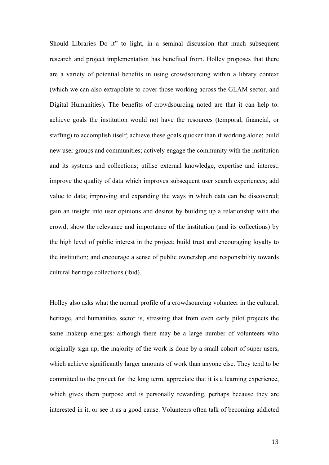Should Libraries Do it" to light, in a seminal discussion that much subsequent research and project implementation has benefited from. Holley proposes that there are a variety of potential benefits in using crowdsourcing within a library context (which we can also extrapolate to cover those working across the GLAM sector, and Digital Humanities). The benefits of crowdsourcing noted are that it can help to: achieve goals the institution would not have the resources (temporal, financial, or staffing) to accomplish itself; achieve these goals quicker than if working alone; build new user groups and communities; actively engage the community with the institution and its systems and collections; utilise external knowledge, expertise and interest; improve the quality of data which improves subsequent user search experiences; add value to data; improving and expanding the ways in which data can be discovered; gain an insight into user opinions and desires by building up a relationship with the crowd; show the relevance and importance of the institution (and its collections) by the high level of public interest in the project; build trust and encouraging loyalty to the institution; and encourage a sense of public ownership and responsibility towards cultural heritage collections (ibid).

Holley also asks what the normal profile of a crowdsourcing volunteer in the cultural, heritage, and humanities sector is, stressing that from even early pilot projects the same makeup emerges: although there may be a large number of volunteers who originally sign up, the majority of the work is done by a small cohort of super users, which achieve significantly larger amounts of work than anyone else. They tend to be committed to the project for the long term, appreciate that it is a learning experience, which gives them purpose and is personally rewarding, perhaps because they are interested in it, or see it as a good cause. Volunteers often talk of becoming addicted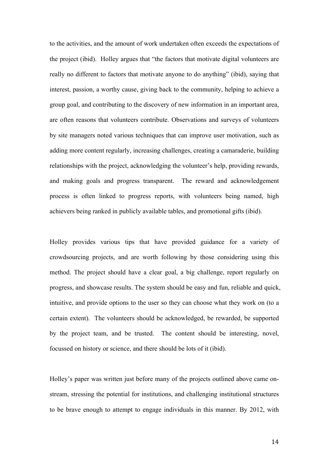to the activities, and the amount of work undertaken often exceeds the expectations of the project (ibid). Holley argues that "the factors that motivate digital volunteers are really no different to factors that motivate anyone to do anything" (ibid), saying that interest, passion, a worthy cause, giving back to the community, helping to achieve a group goal, and contributing to the discovery of new information in an important area, are often reasons that volunteers contribute. Observations and surveys of volunteers by site managers noted various techniques that can improve user motivation, such as adding more content regularly, increasing challenges, creating a camaraderie, building relationships with the project, acknowledging the volunteer's help, providing rewards, and making goals and progress transparent. The reward and acknowledgement process is often linked to progress reports, with volunteers being named, high achievers being ranked in publicly available tables, and promotional gifts (ibid).

Holley provides various tips that have provided guidance for a variety of crowdsourcing projects, and are worth following by those considering using this method. The project should have a clear goal, a big challenge, report regularly on progress, and showcase results. The system should be easy and fun, reliable and quick, intuitive, and provide options to the user so they can choose what they work on (to a certain extent). The volunteers should be acknowledged, be rewarded, be supported by the project team, and be trusted. The content should be interesting, novel, focussed on history or science, and there should be lots of it (ibid).

Holley's paper was written just before many of the projects outlined above came onstream, stressing the potential for institutions, and challenging institutional structures to be brave enough to attempt to engage individuals in this manner. By 2012, with

14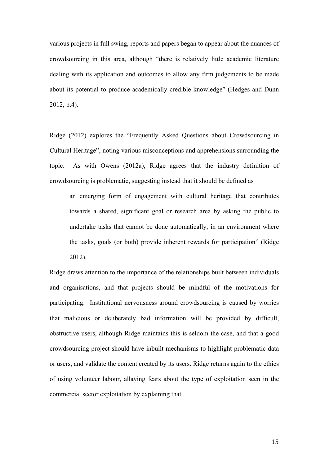various projects in full swing, reports and papers began to appear about the nuances of crowdsourcing in this area, although "there is relatively little academic literature dealing with its application and outcomes to allow any firm judgements to be made about its potential to produce academically credible knowledge" (Hedges and Dunn 2012, p.4).

Ridge (2012) explores the "Frequently Asked Questions about Crowdsourcing in Cultural Heritage", noting various misconceptions and apprehensions surrounding the topic. As with Owens (2012a), Ridge agrees that the industry definition of crowdsourcing is problematic, suggesting instead that it should be defined as

an emerging form of engagement with cultural heritage that contributes towards a shared, significant goal or research area by asking the public to undertake tasks that cannot be done automatically, in an environment where the tasks, goals (or both) provide inherent rewards for participation" (Ridge 2012).

Ridge draws attention to the importance of the relationships built between individuals and organisations, and that projects should be mindful of the motivations for participating. Institutional nervousness around crowdsourcing is caused by worries that malicious or deliberately bad information will be provided by difficult, obstructive users, although Ridge maintains this is seldom the case, and that a good crowdsourcing project should have inbuilt mechanisms to highlight problematic data or users, and validate the content created by its users. Ridge returns again to the ethics of using volunteer labour, allaying fears about the type of exploitation seen in the commercial sector exploitation by explaining that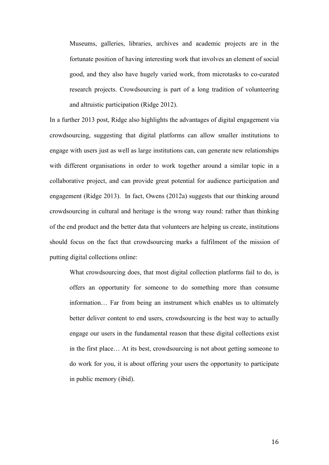Museums, galleries, libraries, archives and academic projects are in the fortunate position of having interesting work that involves an element of social good, and they also have hugely varied work, from microtasks to co-curated research projects. Crowdsourcing is part of a long tradition of volunteering and altruistic participation (Ridge 2012).

In a further 2013 post, Ridge also highlights the advantages of digital engagement via crowdsourcing, suggesting that digital platforms can allow smaller institutions to engage with users just as well as large institutions can, can generate new relationships with different organisations in order to work together around a similar topic in a collaborative project, and can provide great potential for audience participation and engagement (Ridge 2013). In fact, Owens (2012a) suggests that our thinking around crowdsourcing in cultural and heritage is the wrong way round: rather than thinking of the end product and the better data that volunteers are helping us create, institutions should focus on the fact that crowdsourcing marks a fulfilment of the mission of putting digital collections online:

What crowdsourcing does, that most digital collection platforms fail to do, is offers an opportunity for someone to do something more than consume information… Far from being an instrument which enables us to ultimately better deliver content to end users, crowdsourcing is the best way to actually engage our users in the fundamental reason that these digital collections exist in the first place… At its best, crowdsourcing is not about getting someone to do work for you, it is about offering your users the opportunity to participate in public memory (ibid).

16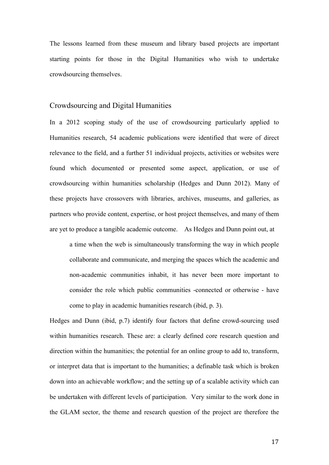The lessons learned from these museum and library based projects are important starting points for those in the Digital Humanities who wish to undertake crowdsourcing themselves.

## Crowdsourcing and Digital Humanities

In a 2012 scoping study of the use of crowdsourcing particularly applied to Humanities research, 54 academic publications were identified that were of direct relevance to the field, and a further 51 individual projects, activities or websites were found which documented or presented some aspect, application, or use of crowdsourcing within humanities scholarship (Hedges and Dunn 2012). Many of these projects have crossovers with libraries, archives, museums, and galleries, as partners who provide content, expertise, or host project themselves, and many of them are yet to produce a tangible academic outcome. As Hedges and Dunn point out, at

a time when the web is simultaneously transforming the way in which people collaborate and communicate, and merging the spaces which the academic and non-academic communities inhabit, it has never been more important to consider the role which public communities -connected or otherwise - have come to play in academic humanities research (ibid, p. 3).

Hedges and Dunn (ibid, p.7) identify four factors that define crowd-sourcing used within humanities research. These are: a clearly defined core research question and direction within the humanities; the potential for an online group to add to, transform, or interpret data that is important to the humanities; a definable task which is broken down into an achievable workflow; and the setting up of a scalable activity which can be undertaken with different levels of participation. Very similar to the work done in the GLAM sector, the theme and research question of the project are therefore the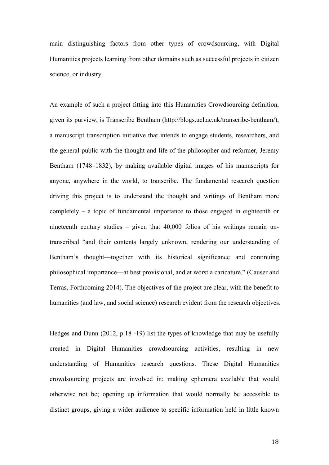main distinguishing factors from other types of crowdsourcing, with Digital Humanities projects learning from other domains such as successful projects in citizen science, or industry.

An example of such a project fitting into this Humanities Crowdsourcing definition, given its purview, is Transcribe Bentham (http://blogs.ucl.ac.uk/transcribe-bentham/), a manuscript transcription initiative that intends to engage students, researchers, and the general public with the thought and life of the philosopher and reformer, Jeremy Bentham (1748–1832), by making available digital images of his manuscripts for anyone, anywhere in the world, to transcribe. The fundamental research question driving this project is to understand the thought and writings of Bentham more completely – a topic of fundamental importance to those engaged in eighteenth or nineteenth century studies – given that 40,000 folios of his writings remain untranscribed "and their contents largely unknown, rendering our understanding of Bentham's thought—together with its historical significance and continuing philosophical importance—at best provisional, and at worst a caricature." (Causer and Terras, Forthcoming 2014). The objectives of the project are clear, with the benefit to humanities (and law, and social science) research evident from the research objectives.

Hedges and Dunn (2012, p.18 -19) list the types of knowledge that may be usefully created in Digital Humanities crowdsourcing activities, resulting in new understanding of Humanities research questions. These Digital Humanities crowdsourcing projects are involved in: making ephemera available that would otherwise not be; opening up information that would normally be accessible to distinct groups, giving a wider audience to specific information held in little known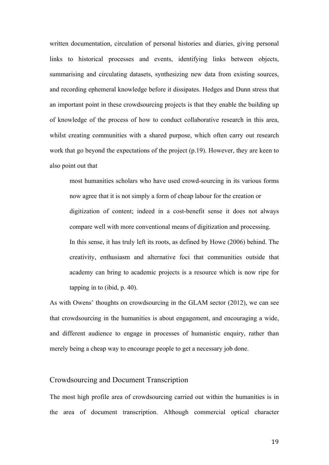written documentation, circulation of personal histories and diaries, giving personal links to historical processes and events, identifying links between objects, summarising and circulating datasets, synthesizing new data from existing sources, and recording ephemeral knowledge before it dissipates. Hedges and Dunn stress that an important point in these crowdsourcing projects is that they enable the building up of knowledge of the process of how to conduct collaborative research in this area, whilst creating communities with a shared purpose, which often carry out research work that go beyond the expectations of the project (p.19). However, they are keen to also point out that

most humanities scholars who have used crowd-sourcing in its various forms now agree that it is not simply a form of cheap labour for the creation or digitization of content; indeed in a cost-benefit sense it does not always compare well with more conventional means of digitization and processing. In this sense, it has truly left its roots, as defined by Howe (2006) behind. The creativity, enthusiasm and alternative foci that communities outside that academy can bring to academic projects is a resource which is now ripe for tapping in to (ibid, p. 40).

As with Owens' thoughts on crowdsourcing in the GLAM sector (2012), we can see that crowdsourcing in the humanities is about engagement, and encouraging a wide, and different audience to engage in processes of humanistic enquiry, rather than merely being a cheap way to encourage people to get a necessary job done.

## Crowdsourcing and Document Transcription

The most high profile area of crowdsourcing carried out within the humanities is in the area of document transcription. Although commercial optical character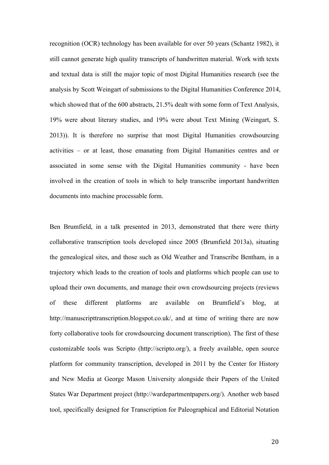recognition (OCR) technology has been available for over 50 years (Schantz 1982), it still cannot generate high quality transcripts of handwritten material. Work with texts and textual data is still the major topic of most Digital Humanities research (see the analysis by Scott Weingart of submissions to the Digital Humanities Conference 2014, which showed that of the 600 abstracts, 21.5% dealt with some form of Text Analysis, 19% were about literary studies, and 19% were about Text Mining (Weingart, S. 2013)). It is therefore no surprise that most Digital Humanities crowdsourcing activities – or at least, those emanating from Digital Humanities centres and or associated in some sense with the Digital Humanities community - have been involved in the creation of tools in which to help transcribe important handwritten documents into machine processable form.

Ben Brumfield, in a talk presented in 2013, demonstrated that there were thirty collaborative transcription tools developed since 2005 (Brumfield 2013a), situating the genealogical sites, and those such as Old Weather and Transcribe Bentham, in a trajectory which leads to the creation of tools and platforms which people can use to upload their own documents, and manage their own crowdsourcing projects (reviews of these different platforms are available on Brumfield's blog, at http://manuscripttranscription.blogspot.co.uk/, and at time of writing there are now forty collaborative tools for crowdsourcing document transcription). The first of these customizable tools was Scripto (http://scripto.org/), a freely available, open source platform for community transcription, developed in 2011 by the Center for History and New Media at George Mason University alongside their Papers of the United States War Department project (http://wardepartmentpapers.org/). Another web based tool, specifically designed for Transcription for Paleographical and Editorial Notation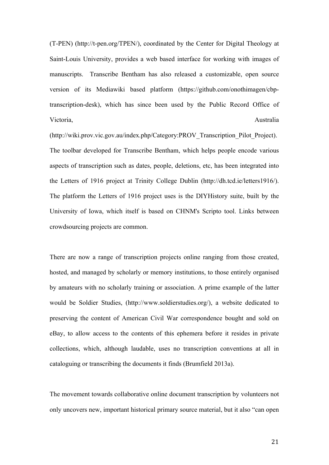(T-PEN) (http://t-pen.org/TPEN/), coordinated by the Center for Digital Theology at Saint-Louis University, provides a web based interface for working with images of manuscripts. Transcribe Bentham has also released a customizable, open source version of its Mediawiki based platform (https://github.com/onothimagen/cbptranscription-desk), which has since been used by the Public Record Office of Victoria, Australia

(http://wiki.prov.vic.gov.au/index.php/Category:PROV\_Transcription\_Pilot\_Project). The toolbar developed for Transcribe Bentham, which helps people encode various aspects of transcription such as dates, people, deletions, etc, has been integrated into the Letters of 1916 project at Trinity College Dublin (http://dh.tcd.ie/letters1916/). The platform the Letters of 1916 project uses is the DIYHistory suite, built by the University of Iowa, which itself is based on CHNM's Scripto tool. Links between crowdsourcing projects are common.

There are now a range of transcription projects online ranging from those created, hosted, and managed by scholarly or memory institutions, to those entirely organised by amateurs with no scholarly training or association. A prime example of the latter would be Soldier Studies, (http://www.soldierstudies.org/), a website dedicated to preserving the content of American Civil War correspondence bought and sold on eBay, to allow access to the contents of this ephemera before it resides in private collections, which, although laudable, uses no transcription conventions at all in cataloguing or transcribing the documents it finds (Brumfield 2013a).

The movement towards collaborative online document transcription by volunteers not only uncovers new, important historical primary source material, but it also "can open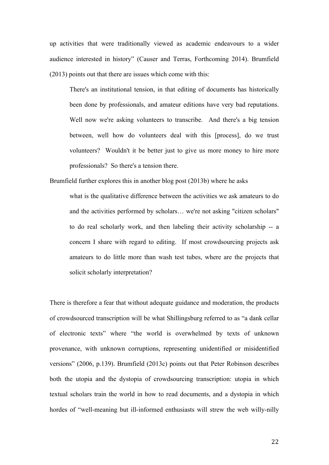up activities that were traditionally viewed as academic endeavours to a wider audience interested in history" (Causer and Terras, Forthcoming 2014). Brumfield (2013) points out that there are issues which come with this:

There's an institutional tension, in that editing of documents has historically been done by professionals, and amateur editions have very bad reputations. Well now we're asking volunteers to transcribe. And there's a big tension between, well how do volunteers deal with this [process], do we trust volunteers? Wouldn't it be better just to give us more money to hire more professionals? So there's a tension there.

Brumfield further explores this in another blog post (2013b) where he asks

what is the qualitative difference between the activities we ask amateurs to do and the activities performed by scholars… we're not asking "citizen scholars" to do real scholarly work, and then labeling their activity scholarship -- a concern I share with regard to editing. If most crowdsourcing projects ask amateurs to do little more than wash test tubes, where are the projects that solicit scholarly interpretation?

There is therefore a fear that without adequate guidance and moderation, the products of crowdsourced transcription will be what Shillingsburg referred to as "a dank cellar of electronic texts" where "the world is overwhelmed by texts of unknown provenance, with unknown corruptions, representing unidentified or misidentified versions" (2006, p.139). Brumfield (2013c) points out that Peter Robinson describes both the utopia and the dystopia of crowdsourcing transcription: utopia in which textual scholars train the world in how to read documents, and a dystopia in which hordes of "well-meaning but ill-informed enthusiasts will strew the web willy-nilly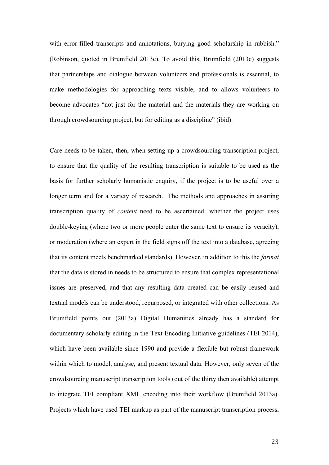with error-filled transcripts and annotations, burying good scholarship in rubbish." (Robinson, quoted in Brumfield 2013c). To avoid this, Brumfield (2013c) suggests that partnerships and dialogue between volunteers and professionals is essential, to make methodologies for approaching texts visible, and to allows volunteers to become advocates "not just for the material and the materials they are working on through crowdsourcing project, but for editing as a discipline" (ibid).

Care needs to be taken, then, when setting up a crowdsourcing transcription project, to ensure that the quality of the resulting transcription is suitable to be used as the basis for further scholarly humanistic enquiry, if the project is to be useful over a longer term and for a variety of research. The methods and approaches in assuring transcription quality of *content* need to be ascertained: whether the project uses double-keying (where two or more people enter the same text to ensure its veracity), or moderation (where an expert in the field signs off the text into a database, agreeing that its content meets benchmarked standards). However, in addition to this the *format* that the data is stored in needs to be structured to ensure that complex representational issues are preserved, and that any resulting data created can be easily reused and textual models can be understood, repurposed, or integrated with other collections. As Brumfield points out (2013a) Digital Humanities already has a standard for documentary scholarly editing in the Text Encoding Initiative guidelines (TEI 2014), which have been available since 1990 and provide a flexible but robust framework within which to model, analyse, and present textual data. However, only seven of the crowdsourcing manuscript transcription tools (out of the thirty then available) attempt to integrate TEI compliant XML encoding into their workflow (Brumfield 2013a). Projects which have used TEI markup as part of the manuscript transcription process,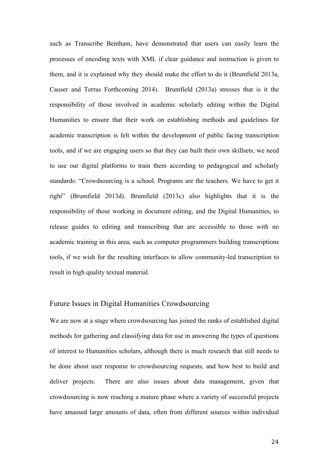such as Transcribe Bentham, have demonstrated that users can easily learn the processes of encoding texts with XML if clear guidance and instruction is given to them, and it is explained why they should make the effort to do it (Brumfield 2013a, Causer and Terras Forthcoming 2014). Brumfield (2013a) stresses that is it the responsibility of those involved in academic scholarly editing within the Digital Humanities to ensure that their work on establishing methods and guidelines for academic transcription is felt within the development of public facing transcription tools, and if we are engaging users so that they can built their own skillsets, we need to use our digital platforms to train them according to pedagogical and scholarly standards: "Crowdsourcing is a school. Programs are the teachers. We have to get it right" (Brumfield 2013d). Brumfield (2013c) also highlights that it is the responsibility of those working in document editing, and the Digital Humanities, to release guides to editing and transcribing that are accessible to those with no academic training in this area, such as computer programmers building transcriptions tools, if we wish for the resulting interfaces to allow community-led transcription to result in high quality textual material.

### Future Issues in Digital Humanities Crowdsourcing

We are now at a stage where crowdsourcing has joined the ranks of established digital methods for gathering and classifying data for use in answering the types of questions of interest to Humanities scholars, although there is much research that still needs to be done about user response to crowdsourcing requests, and how best to build and deliver projects. There are also issues about data management, given that crowdsourcing is now reaching a mature phase where a variety of successful projects have amassed large amounts of data, often from different sources within individual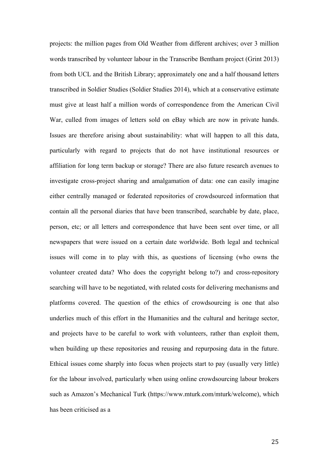projects: the million pages from Old Weather from different archives; over 3 million words transcribed by volunteer labour in the Transcribe Bentham project (Grint 2013) from both UCL and the British Library; approximately one and a half thousand letters transcribed in Soldier Studies (Soldier Studies 2014), which at a conservative estimate must give at least half a million words of correspondence from the American Civil War, culled from images of letters sold on eBay which are now in private hands. Issues are therefore arising about sustainability: what will happen to all this data, particularly with regard to projects that do not have institutional resources or affiliation for long term backup or storage? There are also future research avenues to investigate cross-project sharing and amalgamation of data: one can easily imagine either centrally managed or federated repositories of crowdsourced information that contain all the personal diaries that have been transcribed, searchable by date, place, person, etc; or all letters and correspondence that have been sent over time, or all newspapers that were issued on a certain date worldwide. Both legal and technical issues will come in to play with this, as questions of licensing (who owns the volunteer created data? Who does the copyright belong to?) and cross-repository searching will have to be negotiated, with related costs for delivering mechanisms and platforms covered. The question of the ethics of crowdsourcing is one that also underlies much of this effort in the Humanities and the cultural and heritage sector, and projects have to be careful to work with volunteers, rather than exploit them, when building up these repositories and reusing and repurposing data in the future. Ethical issues come sharply into focus when projects start to pay (usually very little) for the labour involved, particularly when using online crowdsourcing labour brokers such as Amazon's Mechanical Turk (https://www.mturk.com/mturk/welcome), which has been criticised as a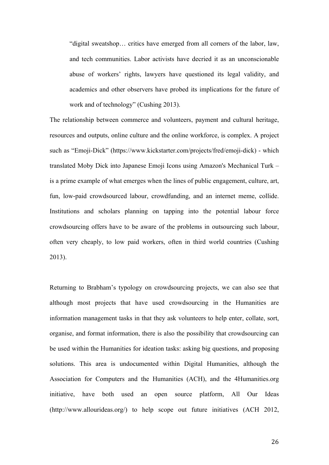"digital sweatshop… critics have emerged from all corners of the labor, law, and tech communities. Labor activists have decried it as an unconscionable abuse of workers' rights, lawyers have questioned its legal validity, and academics and other observers have probed its implications for the future of work and of technology" (Cushing 2013).

The relationship between commerce and volunteers, payment and cultural heritage, resources and outputs, online culture and the online workforce, is complex. A project such as "Emoji-Dick" (https://www.kickstarter.com/projects/fred/emoji-dick) - which translated Moby Dick into Japanese Emoji Icons using Amazon's Mechanical Turk – is a prime example of what emerges when the lines of public engagement, culture, art, fun, low-paid crowdsourced labour, crowdfunding, and an internet meme, collide. Institutions and scholars planning on tapping into the potential labour force crowdsourcing offers have to be aware of the problems in outsourcing such labour, often very cheaply, to low paid workers, often in third world countries (Cushing 2013).

Returning to Brabham's typology on crowdsourcing projects, we can also see that although most projects that have used crowdsourcing in the Humanities are information management tasks in that they ask volunteers to help enter, collate, sort, organise, and format information, there is also the possibility that crowdsourcing can be used within the Humanities for ideation tasks: asking big questions, and proposing solutions. This area is undocumented within Digital Humanities, although the Association for Computers and the Humanities (ACH), and the 4Humanities.org initiative, have both used an open source platform, All Our Ideas (http://www.allourideas.org/) to help scope out future initiatives (ACH 2012,

26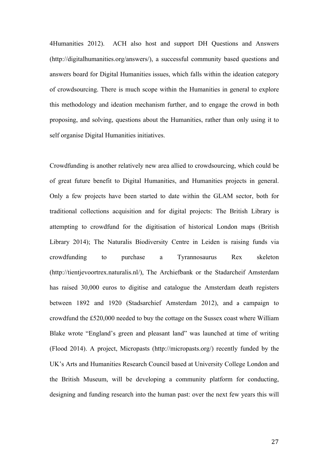4Humanities 2012). ACH also host and support DH Questions and Answers (http://digitalhumanities.org/answers/), a successful community based questions and answers board for Digital Humanities issues, which falls within the ideation category of crowdsourcing. There is much scope within the Humanities in general to explore this methodology and ideation mechanism further, and to engage the crowd in both proposing, and solving, questions about the Humanities, rather than only using it to self organise Digital Humanities initiatives.

Crowdfunding is another relatively new area allied to crowdsourcing, which could be of great future benefit to Digital Humanities, and Humanities projects in general. Only a few projects have been started to date within the GLAM sector, both for traditional collections acquisition and for digital projects: The British Library is attempting to crowdfund for the digitisation of historical London maps (British Library 2014); The Naturalis Biodiversity Centre in Leiden is raising funds via crowdfunding to purchase a Tyrannosaurus Rex skeleton (http://tientjevoortrex.naturalis.nl/), The Archiefbank or the Stadarcheif Amsterdam has raised 30,000 euros to digitise and catalogue the Amsterdam death registers between 1892 and 1920 (Stadsarchief Amsterdam 2012), and a campaign to crowdfund the £520,000 needed to buy the cottage on the Sussex coast where William Blake wrote "England's green and pleasant land" was launched at time of writing (Flood 2014). A project, Micropasts (http://micropasts.org/) recently funded by the UK's Arts and Humanities Research Council based at University College London and the British Museum, will be developing a community platform for conducting, designing and funding research into the human past: over the next few years this will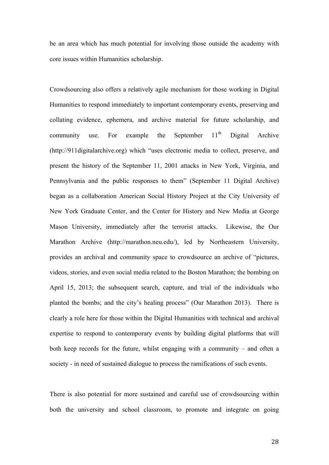be an area which has much potential for involving those outside the academy with core issues within Humanities scholarship.

Crowdsourcing also offers a relatively agile mechanism for those working in Digital Humanities to respond immediately to important contemporary events, preserving and collating evidence, ephemera, and archive material for future scholarship, and community use. For example the September  $11<sup>th</sup>$  Digital Archive (http://911digitalarchive.org) which "uses electronic media to collect, preserve, and present the history of the September 11, 2001 attacks in New York, Virginia, and Pennsylvania and the public responses to them" (September 11 Digital Archive) began as a collaboration American Social History Project at the City University of New York Graduate Center, and the Center for History and New Media at George Mason University, immediately after the terrorist attacks. Likewise, the Our Marathon Archive (http://marathon.neu.edu/), led by Northeastern University, provides an archival and community space to crowdsource an archive of "pictures, videos, stories, and even social media related to the Boston Marathon; the bombing on April 15, 2013; the subsequent search, capture, and trial of the individuals who planted the bombs; and the city's healing process" (Our Marathon 2013). There is clearly a role here for those within the Digital Humanities with technical and archival expertise to respond to contemporary events by building digital platforms that will both keep records for the future, whilst engaging with a community – and often a society - in need of sustained dialogue to process the ramifications of such events.

There is also potential for more sustained and careful use of crowdsourcing within both the university and school classroom, to promote and integrate on going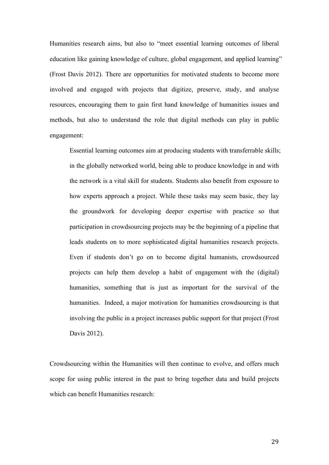Humanities research aims, but also to "meet essential learning outcomes of liberal education like gaining knowledge of culture, global engagement, and applied learning" (Frost Davis 2012). There are opportunities for motivated students to become more involved and engaged with projects that digitize, preserve, study, and analyse resources, encouraging them to gain first hand knowledge of humanities issues and methods, but also to understand the role that digital methods can play in public engagement:

Essential learning outcomes aim at producing students with transferrable skills; in the globally networked world, being able to produce knowledge in and with the network is a vital skill for students. Students also benefit from exposure to how experts approach a project. While these tasks may seem basic, they lay the groundwork for developing deeper expertise with practice so that participation in crowdsourcing projects may be the beginning of a pipeline that leads students on to more sophisticated digital humanities research projects. Even if students don't go on to become digital humanists, crowdsourced projects can help them develop a habit of engagement with the (digital) humanities, something that is just as important for the survival of the humanities. Indeed, a major motivation for humanities crowdsourcing is that involving the public in a project increases public support for that project (Frost Davis 2012).

Crowdsourcing within the Humanities will then continue to evolve, and offers much scope for using public interest in the past to bring together data and build projects which can benefit Humanities research: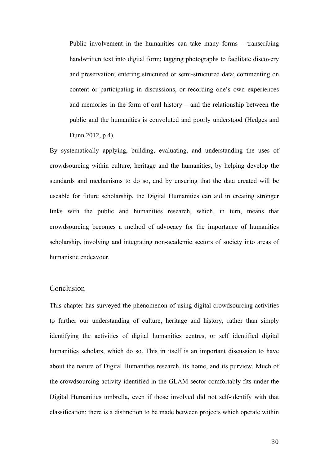Public involvement in the humanities can take many forms – transcribing handwritten text into digital form; tagging photographs to facilitate discovery and preservation; entering structured or semi-structured data; commenting on content or participating in discussions, or recording one's own experiences and memories in the form of oral history – and the relationship between the public and the humanities is convoluted and poorly understood (Hedges and Dunn 2012, p.4).

By systematically applying, building, evaluating, and understanding the uses of crowdsourcing within culture, heritage and the humanities, by helping develop the standards and mechanisms to do so, and by ensuring that the data created will be useable for future scholarship, the Digital Humanities can aid in creating stronger links with the public and humanities research, which, in turn, means that crowdsourcing becomes a method of advocacy for the importance of humanities scholarship, involving and integrating non-academic sectors of society into areas of humanistic endeavour.

## Conclusion

This chapter has surveyed the phenomenon of using digital crowdsourcing activities to further our understanding of culture, heritage and history, rather than simply identifying the activities of digital humanities centres, or self identified digital humanities scholars, which do so. This in itself is an important discussion to have about the nature of Digital Humanities research, its home, and its purview. Much of the crowdsourcing activity identified in the GLAM sector comfortably fits under the Digital Humanities umbrella, even if those involved did not self-identify with that classification: there is a distinction to be made between projects which operate within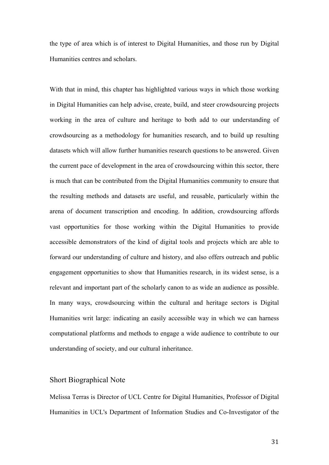the type of area which is of interest to Digital Humanities, and those run by Digital Humanities centres and scholars.

With that in mind, this chapter has highlighted various ways in which those working in Digital Humanities can help advise, create, build, and steer crowdsourcing projects working in the area of culture and heritage to both add to our understanding of crowdsourcing as a methodology for humanities research, and to build up resulting datasets which will allow further humanities research questions to be answered. Given the current pace of development in the area of crowdsourcing within this sector, there is much that can be contributed from the Digital Humanities community to ensure that the resulting methods and datasets are useful, and reusable, particularly within the arena of document transcription and encoding. In addition, crowdsourcing affords vast opportunities for those working within the Digital Humanities to provide accessible demonstrators of the kind of digital tools and projects which are able to forward our understanding of culture and history, and also offers outreach and public engagement opportunities to show that Humanities research, in its widest sense, is a relevant and important part of the scholarly canon to as wide an audience as possible. In many ways, crowdsourcing within the cultural and heritage sectors is Digital Humanities writ large: indicating an easily accessible way in which we can harness computational platforms and methods to engage a wide audience to contribute to our understanding of society, and our cultural inheritance.

#### Short Biographical Note

Melissa Terras is Director of UCL Centre for Digital Humanities, Professor of Digital Humanities in UCL's Department of Information Studies and Co-Investigator of the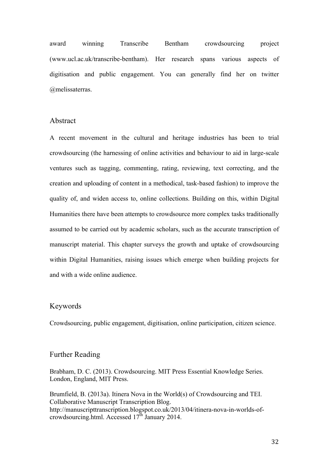award winning Transcribe Bentham crowdsourcing project (www.ucl.ac.uk/transcribe-bentham). Her research spans various aspects of digitisation and public engagement. You can generally find her on twitter @melissaterras.

## Abstract

A recent movement in the cultural and heritage industries has been to trial crowdsourcing (the harnessing of online activities and behaviour to aid in large-scale ventures such as tagging, commenting, rating, reviewing, text correcting, and the creation and uploading of content in a methodical, task-based fashion) to improve the quality of, and widen access to, online collections. Building on this, within Digital Humanities there have been attempts to crowdsource more complex tasks traditionally assumed to be carried out by academic scholars, such as the accurate transcription of manuscript material. This chapter surveys the growth and uptake of crowdsourcing within Digital Humanities, raising issues which emerge when building projects for and with a wide online audience.

### Keywords

Crowdsourcing, public engagement, digitisation, online participation, citizen science.

## Further Reading

Brabham, D. C. (2013). Crowdsourcing. MIT Press Essential Knowledge Series. London, England, MIT Press.

Brumfield, B. (2013a). Itinera Nova in the World(s) of Crowdsourcing and TEI. Collaborative Manuscript Transcription Blog. http://manuscripttranscription.blogspot.co.uk/2013/04/itinera-nova-in-worlds-ofcrowdsourcing.html. Accessed  $17^{\text{th}}$  January 2014.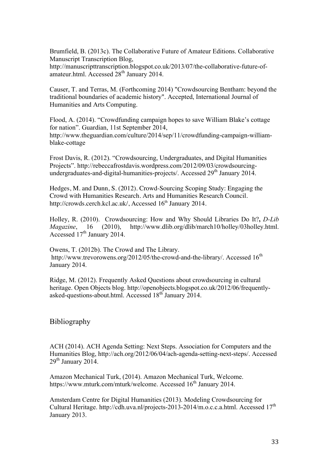Brumfield, B. (2013c). The Collaborative Future of Amateur Editions. Collaborative Manuscript Transcription Blog,

http://manuscripttranscription.blogspot.co.uk/2013/07/the-collaborative-future-ofamateur.html. Accessed 28<sup>th</sup> January 2014.

Causer, T. and Terras, M. (Forthcoming 2014) "Crowdsourcing Bentham: beyond the traditional boundaries of academic history". Accepted, International Journal of Humanities and Arts Computing.

Flood, A. (2014). "Crowdfunding campaign hopes to save William Blake's cottage for nation". Guardian, 11st September 2014, http://www.theguardian.com/culture/2014/sep/11/crowdfunding-campaign-williamblake-cottage

Frost Davis, R. (2012). "Crowdsourcing, Undergraduates, and Digital Humanities Projects". http://rebeccafrostdavis.wordpress.com/2012/09/03/crowdsourcingundergraduates-and-digital-humanities-projects/. Accessed 29<sup>th</sup> January 2014.

Hedges, M. and Dunn, S. (2012). Crowd-Sourcing Scoping Study: Engaging the Crowd with Humanities Research. Arts and Humanities Research Council. http://crowds.cerch.kcl.ac.uk/, Accessed 16<sup>th</sup> January 2014.

Holley, R. (2010). Crowdsourcing: How and Why Should Libraries Do It?**,** *D-Lib Magazine*, 16 (2010), http://www.dlib.org/dlib/march10/holley/03holley.html. Accessed  $17<sup>th</sup>$  January 2014.

Owens, T. (2012b). The Crowd and The Library. http://www.trevorowens.org/2012/05/the-crowd-and-the-library/. Accessed 16<sup>th</sup> January 2014.

Ridge, M. (2012). Frequently Asked Questions about crowdsourcing in cultural heritage. Open Objects blog. http://openobjects.blogspot.co.uk/2012/06/frequentlyasked-questions-about.html. Accessed 18th January 2014.

# Bibliography

ACH (2014). ACH Agenda Setting: Next Steps. Association for Computers and the Humanities Blog, http://ach.org/2012/06/04/ach-agenda-setting-next-steps/. Accessed  $29<sup>th</sup>$  January 2014.

Amazon Mechanical Turk, (2014). Amazon Mechanical Turk, Welcome. https://www.mturk.com/mturk/welcome. Accessed 16<sup>th</sup> January 2014.

Amsterdam Centre for Digital Humanities (2013). Modeling Crowdsourcing for Cultural Heritage. http://cdh.uva.nl/projects-2013-2014/m.o.c.c.a.html. Accessed 17<sup>th</sup> January 2013.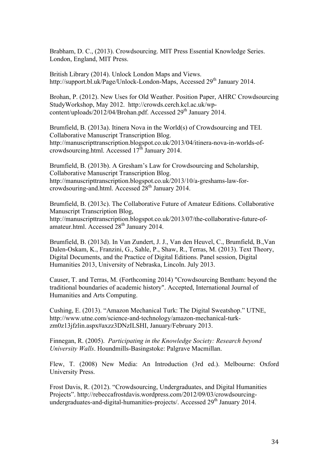Brabham, D. C., (2013). Crowdsourcing. MIT Press Essential Knowledge Series. London, England, MIT Press.

British Library (2014). Unlock London Maps and Views. http://support.bl.uk/Page/Unlock-London-Maps, Accessed 29<sup>th</sup> January 2014.

Brohan, P. (2012). New Uses for Old Weather. Position Paper, AHRC Crowdsourcing StudyWorkshop, May 2012. http://crowds.cerch.kcl.ac.uk/wpcontent/uploads/2012/04/Brohan.pdf. Accessed  $29<sup>th</sup>$  January 2014.

Brumfield, B. (2013a). Itinera Nova in the World(s) of Crowdsourcing and TEI. Collaborative Manuscript Transcription Blog. http://manuscripttranscription.blogspot.co.uk/2013/04/itinera-nova-in-worlds-ofcrowdsourcing.html. Accessed  $17^{\text{th}}$  January 2014.

Brumfield, B. (2013b). A Gresham's Law for Crowdsourcing and Scholarship, Collaborative Manuscript Transcription Blog. http://manuscripttranscription.blogspot.co.uk/2013/10/a-greshams-law-forcrowdsouring-and.html. Accessed  $28<sup>th</sup>$  January 2014.

Brumfield, B. (2013c). The Collaborative Future of Amateur Editions. Collaborative Manuscript Transcription Blog, http://manuscripttranscription.blogspot.co.uk/2013/07/the-collaborative-future-ofamateur.html. Accessed  $28<sup>th</sup>$  January 2014.

Brumfield, B. (2013d). In Van Zundert, J. J., Van den Heuvel, C., Brumfield, B.,Van Dalen-Oskam, K., Franzini, G., Sahle, P., Shaw, R., Terras, M. (2013). Text Theory, Digital Documents, and the Practice of Digital Editions. Panel session, Digital Humanities 2013, University of Nebraska, Lincoln. July 2013.

Causer, T. and Terras, M. (Forthcoming 2014) "Crowdsourcing Bentham: beyond the traditional boundaries of academic history". Accepted, International Journal of Humanities and Arts Computing.

Cushing, E. (2013). "Amazon Mechanical Turk: The Digital Sweatshop." UTNE, http://www.utne.com/science-and-technology/amazon-mechanical-turkzm0z13jfzlin.aspx#axzz3DNzILSHI, January/February 2013.

Finnegan, R. (2005). *Participating in the Knowledge Society: Research beyond University Walls*. Houndmills-Basingstoke: Palgrave Macmillan.

Flew, T. (2008) New Media: An Introduction (3rd ed.). Melbourne: Oxford University Press.

Frost Davis, R. (2012). "Crowdsourcing, Undergraduates, and Digital Humanities Projects". http://rebeccafrostdavis.wordpress.com/2012/09/03/crowdsourcingundergraduates-and-digital-humanities-projects/. Accessed 29<sup>th</sup> January 2014.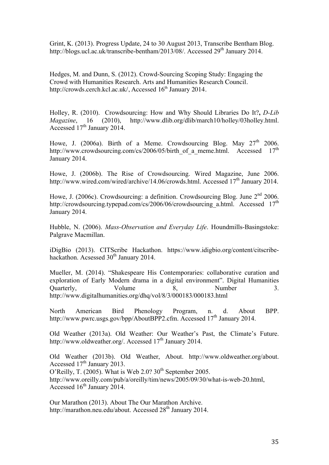Grint, K. (2013). Progress Update, 24 to 30 August 2013, Transcribe Bentham Blog. http://blogs.ucl.ac.uk/transcribe-bentham/2013/08/. Accessed  $29<sup>th</sup>$  January 2014.

Hedges, M. and Dunn, S. (2012). Crowd-Sourcing Scoping Study: Engaging the Crowd with Humanities Research. Arts and Humanities Research Council. http://crowds.cerch.kcl.ac.uk/, Accessed 16<sup>th</sup> January 2014.

Holley, R. (2010). Crowdsourcing: How and Why Should Libraries Do It?**,** *D-Lib Magazine*, 16 (2010), http://www.dlib.org/dlib/march10/holley/03holley.html. Accessed  $17<sup>th</sup>$  January 2014.

Howe, J. (2006a). Birth of a Meme. Crowdsourcing Blog. May  $27<sup>th</sup>$  2006. http://www.crowdsourcing.com/cs/2006/05/birth of a meme.html. Accessed  $17<sup>th</sup>$ January 2014.

Howe, J. (2006b). The Rise of Crowdsourcing. Wired Magazine, June 2006. http://www.wired.com/wired/archive/14.06/crowds.html. Accessed 17<sup>th</sup> January 2014.

Howe, J. (2006c). Crowdsourcing: a definition. Crowdsourcing Blog. June  $2<sup>nd</sup>$  2006. http://crowdsourcing.typepad.com/cs/2006/06/crowdsourcing\_a.html. Accessed 17<sup>th</sup> January 2014.

Hubble, N. (2006). *Mass-Observation and Everyday Life*. Houndmills-Basingstoke: Palgrave Macmillan.

iDigBio (2013). CITScribe Hackathon. https://www.idigbio.org/content/citscribehackathon. Acsessed 30<sup>th</sup> January 2014.

Mueller, M. (2014). "Shakespeare His Contemporaries: collaborative curation and exploration of Early Modern drama in a digital environment". Digital Humanities Ouarterly,  $V$ olume 8, Number 3, http://www.digitalhumanities.org/dhq/vol/8/3/000183/000183.html

North American Bird Phenology Program, n. d. About BPP. http://www.pwrc.usgs.gov/bpp/AboutBPP2.cfm. Accessed 17<sup>th</sup> January 2014.

Old Weather (2013a). Old Weather: Our Weather's Past, the Climate's Future. http://www.oldweather.org/. Accessed 17<sup>th</sup> January 2014.

Old Weather (2013b). Old Weather, About. http://www.oldweather.org/about. Accessed  $17<sup>th</sup>$  January 2013. O'Reilly, T. (2005). What is Web 2.0?  $30<sup>th</sup>$  September 2005. http://www.oreilly.com/pub/a/oreilly/tim/news/2005/09/30/what-is-web-20.html, Accessed 16<sup>th</sup> January 2014.

Our Marathon (2013). About The Our Marathon Archive. http://marathon.neu.edu/about. Accessed 28<sup>th</sup> January 2014.